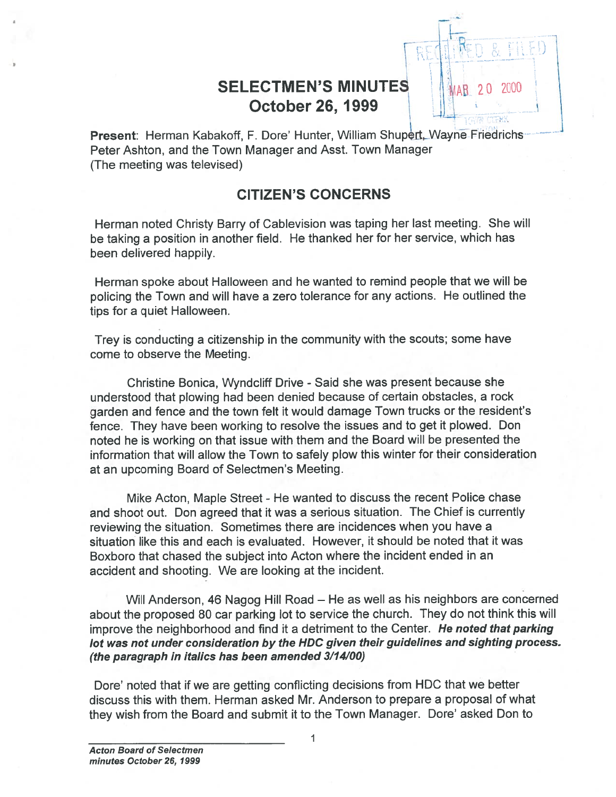# **SELECTMEN'S MINUTES** October 26, 1999

Present: Herman Kabakoff, F. Dore' Hunter, William Shupert, Wayne Friedrichs Peter Ashton, and the Town Manager and Asst. Town Manager (The meeting was televised)

### CITIZEN'S CONCERNS

Herman noted Christy Barry of Cablevision was taping her last meeting. She will be taking <sup>a</sup> position in another field. He thanked her for her service, which has been delivered happily.

Herman spoke about Halloween and he wanted to remind people that we will be policing the Town and will have <sup>a</sup> zero tolerance for any actions. He outlined the tips for <sup>a</sup> quiet Halloween.

Trey is conducting <sup>a</sup> citizenship in the community with the scouts; some have come to observe the Meeting.

Christine Bonica, Wyndcliff Drive - Said she was present because she understood that plowing had been denied because of certain obstacles, <sup>a</sup> rock garden and fence and the town felt it would damage Town trucks or the resident's fence. They have been working to resolve the issues and to ge<sup>t</sup> it <sup>p</sup>lowed. Don noted he is working on that issue with them and the Board will be presented the information that will allow the Town to safely plow this winter for their consideration at an upcoming Board of Selectmen's Meeting.

Mike Acton, Maple Street - He wanted to discuss the recent Police chase and shoot out. Don agreed that it was <sup>a</sup> serious situation. The Chief is currently reviewing the situation. Sometimes there are incidences when you have <sup>a</sup> situation like this and each is evaluated. However, it should be noted that it was Boxboro that chased the subject into Acton where the incident ended in an accident and shooting. We are looking at the incident.

Will Anderson, 46 Nagog Hill Road — He as well as his neighbors are concerned about the propose<sup>d</sup> <sup>80</sup> car parking lot to service the church. They do not think this will improve the neighborhood and find it a detriment to the Center. He noted that parking lot was not under consideration by the HDC <sup>g</sup>iven their guidelines and sighting process. (the paragraph in italics has been amended 3/14/00)

Dore' noted that if we are getting conflicting decisions from HDC that we better discuss this with them. Herman asked Mr. Anderson to prepare <sup>a</sup> proposal of what they wish from the Board and submit it to the Town Manager. Dore' asked Don to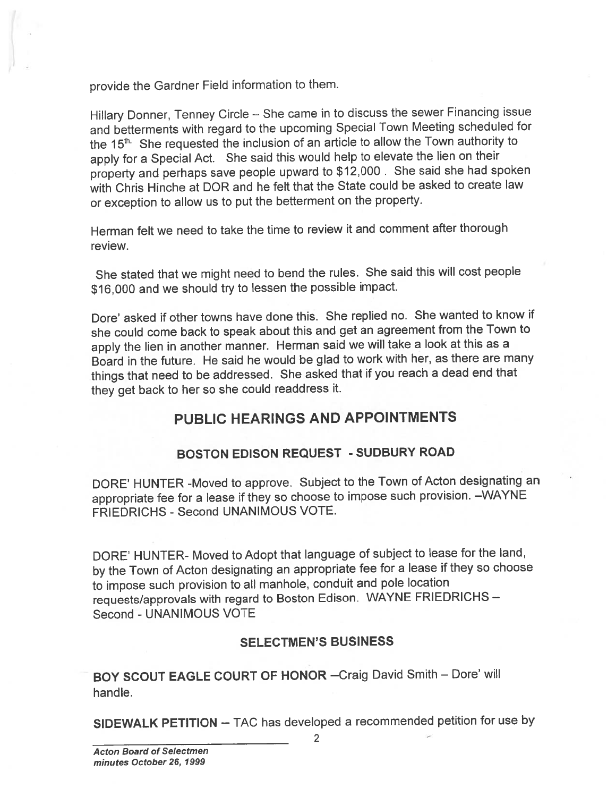provide the Gardner Field information to them.

Hillary Donner, Tenney Circle — She came in to discuss the sewer Financing issue and betterments with regar<sup>d</sup> to the upcoming Special Town Meeting scheduled for the 15<sup>th</sup>. She requested the inclusion of an article to allow the Town authority to apply for <sup>a</sup> Special Act. She said this would help to elevate the lien on their property and perhaps save people upwar<sup>d</sup> to \$12,000. She said she had spoken with Chris Hinche at DOR and he felt that the State could be asked to create law or exception to allow us to pu<sup>t</sup> the betterment on the property.

Herman felt we need to take the time to review it and comment after thorough review.

She stated that we might need to bend the rules. She said this will cost people \$16,000 and we should try to lessen the possible impact.

Dote' asked if other towns have done this. She replied no. She wanted to know if she could come back to spea<sup>k</sup> about this and ge<sup>t</sup> an agreemen<sup>t</sup> from the Town to apply the lien in another manner. Herman said we will take <sup>a</sup> look at this as <sup>a</sup> Board in the future. He said he would be <sup>g</sup>lad to work with her, as there are many things that need to be addressed. She asked that if you reach <sup>a</sup> dead end that they ge<sup>t</sup> back to her so she could readdress it.

### PUBLIC HEARINGS AND APPOINTMENTS

#### BOSTON EDISON REQUEST - SUDBURY ROAD

DORE' HUNTER -Moved to approve. Subject to the Town of Acton designating an appropriate fee for <sup>a</sup> lease if they so choose to impose such provision. —WAYNE FRIEDRICHS - Second UNANIMOUS VOTE.

DORE' HUNTER- Moved to Adopt that language of subject to lease for the land, by the Town of Acton designating an appropriate fee for <sup>a</sup> lease if they so choose to impose such provision to all manhole, conduit and pole location requests/approvals with regard to Boston Edison. WAYNE FRIEDRICHS -Second - UNANIMOUS VOTE

#### SELECTMEN'S BUSINESS

BOY SCOUT EAGLE COURT OF HONOR —Craig David Smith — Dore' will handle.

SIDEWALK PETITION — TAC has developed <sup>a</sup> recommended petition for use by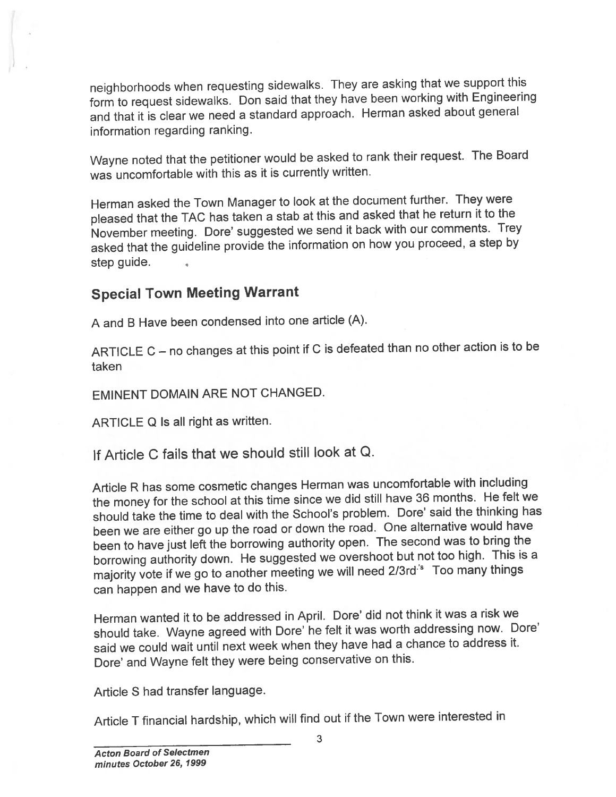neighborhoods when requesting sidewalks. They are asking that we suppor<sup>t</sup> this form to reques<sup>t</sup> sidewalks. Don said that they have been working with Engineering and that it is clear we need <sup>a</sup> standard approach. Herman asked about genera<sup>l</sup> information regarding ranking.

Wayne noted that the petitioner would be asked to rank their request. The Board was uncomfortable with this as it is currently written.

Herman asked the Town Manager to look at the document further. They were <sup>p</sup>leased that the TAC has taken <sup>a</sup> stab at this and asked that he return it to the November meeting. Dore' suggested we send it back with our comments. Trey asked that the guideline provide the information on how you proceed, <sup>a</sup> step by step guide.

### Special Town Meeting Warrant

<sup>A</sup> and <sup>B</sup> Have been condensed into one article (A).

ARTICLE <sup>C</sup> — no changes at this point if <sup>C</sup> is defeated than no other action is to be taken

EMINENT DOMAIN ARE NOT CHANGED.

ARTICLE Q Is all right as written.

If Article C fails that we should still look at Q.

Article <sup>R</sup> has some cosmetic changes Herman was uncomfortable with including the money for the school at this time since we did still have <sup>36</sup> months. He felt we should take the time to deal with the School's problem. Dore' said the thinking has been we are either go up the road or down the road. One alternative would have been to have just left the borrowing authority open. The second was to bring the borrowing authority down. He suggested we overshoot but not too high. This is <sup>a</sup> majority vote if we go to another meeting we will need 2/3rd<sup>'s</sup> Too many things can happen and we have to do this.

Herman wanted it to be addressed in April. Dore' did not think it was <sup>a</sup> risk we should take. Wayne agree<sup>d</sup> with Dore' he felt it was worth addressing now. Dore' said we could wait until next week when they have had <sup>a</sup> chance to address it. Dore' and Wayne felt they were being conservative on this.

Article S had transfer language.

Article <sup>T</sup> financial hardship, which will find out if the Town were interested in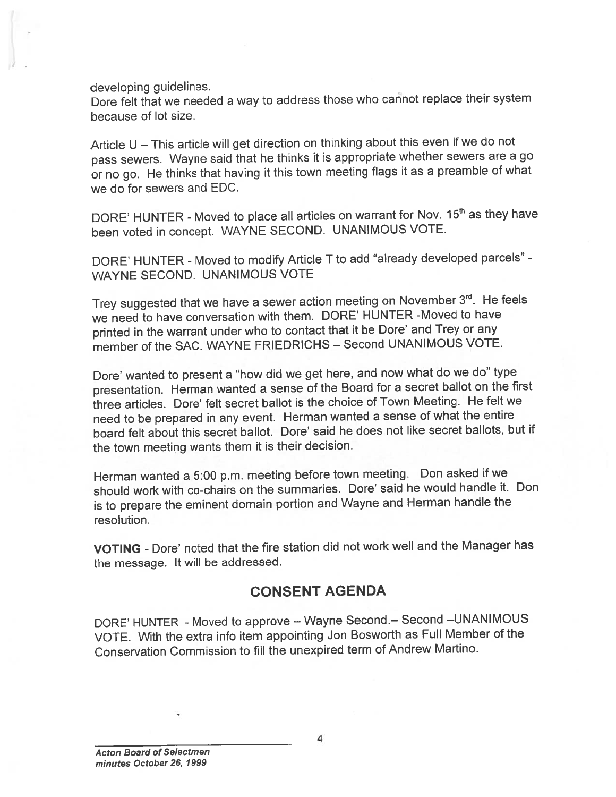developing guidelines.

Dore felt that we needed <sup>a</sup> way to address those who cannot replace their system because of lot size.

Article <sup>U</sup> — This article will ge<sup>t</sup> direction on thinking about this even if we do not pass sewers. Wayne said that he thinks it is appropriate whether sewers are <sup>a</sup> go or no go. He thinks that having it this town meeting flags it as <sup>a</sup> preamble of what we do for sewers and EDC.

DORE' HUNTER - Moved to place all articles on warrant for Nov. 15<sup>th</sup> as they have been voted in concept. WAYNE SECOND. UNANIMOUS VOTE.

DORE' HUNTER - Moved to modify Article <sup>T</sup> to add "already developed parcels" - WAYNE SECOND. UNANIMOUS VOTE

Trey suggested that we have a sewer action meeting on November 3rd. He feels we need to have conversation with them. DORE' HUNTER -Moved to have printed in the warrant under who to contact that it be Dore' and Trey or any member of the SAC. WAYNE FRIEDRICHS — Second UNANIMOUS VOTE.

Dore' wanted to presen<sup>t</sup> <sup>a</sup> "how did we ge<sup>t</sup> here, and now what do we do" type presentation. Herman wanted <sup>a</sup> sense of the Board for <sup>a</sup> secret ballot on the first three articles. Dore' felt secret ballot is the choice of Town Meeting. He felt we need to be prepare<sup>d</sup> in any event. Herman wanted <sup>a</sup> sense of what the entire board felt about this secret ballot. Dore' said he does not like secret ballots, but if the town meeting wants them it is their decision.

Herman wanted <sup>a</sup> 5:00 p.m. meeting before town meeting. Don asked if we should work with co-chairs on the summaries. Dore' said he would handle it. Don is to prepare the eminent domain portion and Wayne and Herman handle the resolution.

VOTING - Dore' noted that the fire station did not work well and the Manager has the message. It will be addressed.

#### CONSENT AGENDA

DORE' HUNTER - Moved to approve - Wayne Second. - Second - UNANIMOUS VOTE. With the extra info item appointing Jon Bosworth as Full Member of the Conservation Commission to fill the unexpired term of Andrew Martino.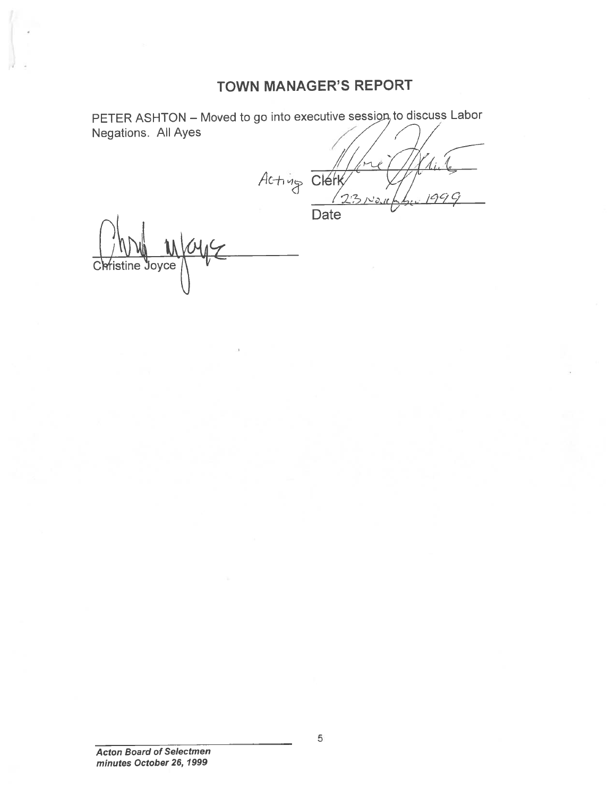## TOWN MANAGER'S REPORT

PETER ASHTON – Moved to go into executive session to discuss Labor Negations. All Ayes  $A$ c $+$   $45$  Clérk **Date** 

Christine Joyce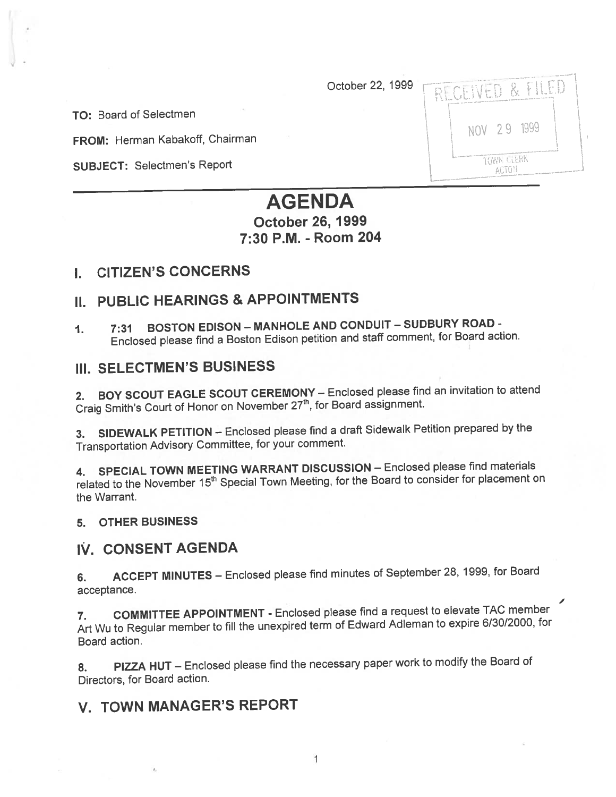October 22, 1999

TO: Board of Selectmen

FROM: Herman Kabakoff, Chairman

SUBJECT: Selectmen's Report

| o unions<br>An arts story                                                                                                                                                                                   |  |
|-------------------------------------------------------------------------------------------------------------------------------------------------------------------------------------------------------------|--|
| <b>Companies for the day of a</b><br>RECEIVED & EILED<br>destructions, in term many temperature entering experimental distance the seed in anchor contribution. A ring                                      |  |
| NOV 29 1999<br>program constitutions in the program of the second contract of the contract of the contract of the contract of                                                                               |  |
| the construction of the first construction of the construction<br>TOWN CLERK<br>ACTON<br>staatsi ainimisesta vastineenaa teastatei kirjas suunkmaanilija kuuleisuusmannista ainastattu kompanink asi kohuul |  |

# AGENDA

# October 26, 1999 7:30 P.M. - Room 204

### I. CITIZEN'S CONCERNS

## II. PUBLIC HEARINGS & APPOINTMENTS

1. 7:31 BOSTON EDISON - MANHOLE AND CONDUIT - SUDBURY ROAD -Enclosed <sup>p</sup>lease find <sup>a</sup> Boston Edison petition and staff comment, for Board action.

#### Ill. SELECTMEN'S BUSINESS

2. BOY SCOUT EAGLE SCOUT CEREMONY — Enclosed <sup>p</sup>lease find an invitation to attend Craig Smith's Court of Honor on November 27<sup>th</sup>, for Board assignment.

3. SIDEWALK PETITION — Enclosed <sup>p</sup>lease find <sup>a</sup> draft Sidewalk Petition prepare<sup>d</sup> by the Transportation Advisory Committee, for your comment.

4. SPECIAL TOWN MEETING WARRANT DISCUSSION — Enclosed <sup>p</sup>lease find materials related to the November 15<sup>th</sup> Special Town Meeting, for the Board to consider for placement on the Warrant.

#### 5. OTHER BUSINESS

#### IV. CONSENT AGENDA

6. ACCEPT MINUTES — Enclosed <sup>p</sup>lease find minutes of September 28, 1999, for Board acceptance.

7. COMMITTEE APPOINTMENT -Enclosed <sup>p</sup>lease find <sup>a</sup> reques<sup>t</sup> to elevate TAC member Art Wu to Regular member to fill the unexpired term of Edward Adleman to expire 6/30/2000, for Board action.

8. PIZZA HUT – Enclosed please find the necessary paper work to modify the Board of Directors, for Board action.

# V. TOWN MANAGER'S REPORT

1